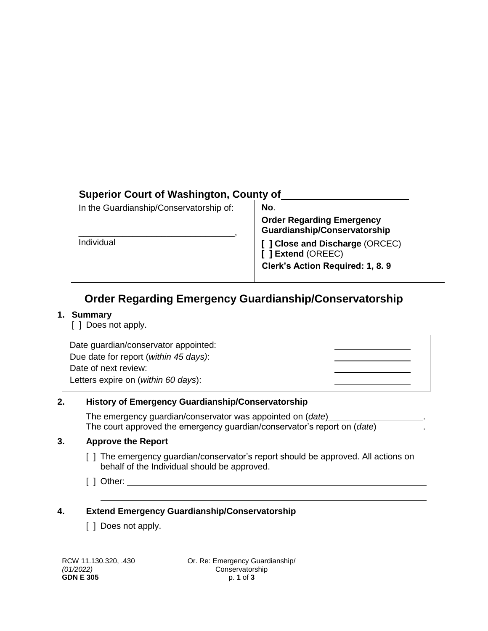## **Superior Court of Washington, County of**

| In the Guardianship/Conservatorship of: | No.                                                                                      |  |
|-----------------------------------------|------------------------------------------------------------------------------------------|--|
|                                         | <b>Order Regarding Emergency</b><br>Guardianship/Conservatorship                         |  |
| Individual                              | [ ] Close and Discharge (ORCEC)<br>[ ] Extend (OREEC)<br>Clerk's Action Required: 1, 8.9 |  |

# **Order Regarding Emergency Guardianship/Conservatorship**

#### **1. Summary**

[ ] Does not apply.

Date guardian/conservator appointed: Due date for report (*within 45 days)*: Date of next review: Letters expire on (*within 60 days*):

### **2. History of Emergency Guardianship/Conservatorship**

The emergency guardian/conservator was appointed on (*date*) The court approved the emergency guardian/conservator's report on (*date*) .

### **3. Approve the Report**

- [ ] The emergency guardian/conservator's report should be approved. All actions on behalf of the Individual should be approved.
- [ ] Other:

## **4. Extend Emergency Guardianship/Conservatorship**

[ ] Does not apply.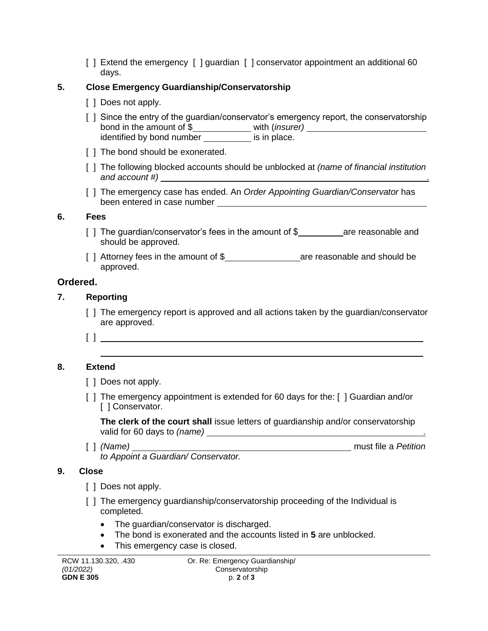[ ] Extend the emergency [ ] guardian [ ] conservator appointment an additional 60 days.

### **5. Close Emergency Guardianship/Conservatorship**

- [ ] Does not apply.
- [ ] Since the entry of the guardian/conservator's emergency report, the conservatorship bond in the amount of \$**\_\_\_\_\_\_\_\_\_\_\_\_\_** with (*insurer*) identified by bond number **incomedy** is in place.
- [ ] The bond should be exonerated.
- [ ] The following blocked accounts should be unblocked at *(name of financial institution and account #)* .
- [ ] The emergency case has ended. An *Order Appointing Guardian/Conservator* has been entered in case number

#### **6. Fees**

- [ ] The guardian/conservator's fees in the amount of  $\frac{1}{2}$  are reasonable and should be approved.
- [ ] Attorney fees in the amount of \$ are reasonable and should be approved.

### **Ordered.**

#### **7. Reporting**

- [ ] The emergency report is approved and all actions taken by the guardian/conservator are approved.
- [ ]

### **8. Extend**

- [ ] Does not apply.
- [ ] The emergency appointment is extended for 60 days for the: [ ] Guardian and/or [ ] Conservator.

**The clerk of the court shall** issue letters of guardianship and/or conservatorship valid for 60 days to *(name)* .

[ ] *(Name)* must file a *Petition to Appoint a Guardian/ Conservator.*

#### **9. Close**

- [ ] Does not apply.
- [ ] The emergency guardianship/conservatorship proceeding of the Individual is completed.
	- The guardian/conservator is discharged.
	- The bond is exonerated and the accounts listed in **5** are unblocked.
	- This emergency case is closed.